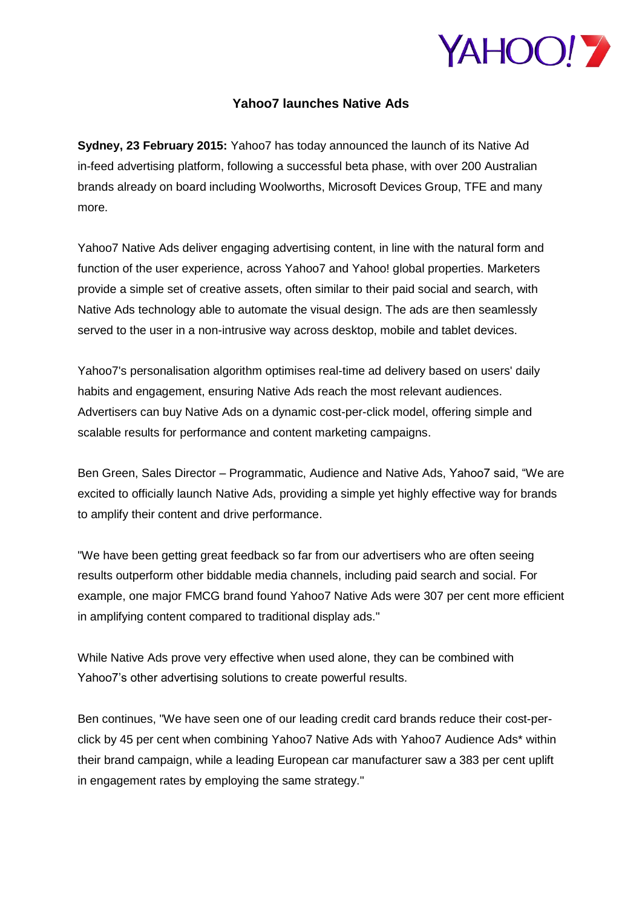

## **Yahoo7 launches Native Ads**

**Sydney, 23 February 2015:** Yahoo7 has today announced the launch of its Native Ad in-feed advertising platform, following a successful beta phase, with over 200 Australian brands already on board including Woolworths, Microsoft Devices Group, TFE and many more.

Yahoo7 Native Ads deliver engaging advertising content, in line with the natural form and function of the user experience, across Yahoo7 and Yahoo! global properties. Marketers provide a simple set of creative assets, often similar to their paid social and search, with Native Ads technology able to automate the visual design. The ads are then seamlessly served to the user in a non-intrusive way across desktop, mobile and tablet devices.

Yahoo7's personalisation algorithm optimises real-time ad delivery based on users' daily habits and engagement, ensuring Native Ads reach the most relevant audiences. Advertisers can buy Native Ads on a dynamic cost-per-click model, offering simple and scalable results for performance and content marketing campaigns.

Ben Green, Sales Director – Programmatic, Audience and Native Ads, Yahoo7 said, "We are excited to officially launch Native Ads, providing a simple yet highly effective way for brands to amplify their content and drive performance.

"We have been getting great feedback so far from our advertisers who are often seeing results outperform other biddable media channels, including paid search and social. For example, one major FMCG brand found Yahoo7 Native Ads were 307 per cent more efficient in amplifying content compared to traditional display ads."

While Native Ads prove very effective when used alone, they can be combined with Yahoo7's other advertising solutions to create powerful results.

Ben continues, "We have seen one of our leading credit card brands reduce their cost-perclick by 45 per cent when combining Yahoo7 Native Ads with Yahoo7 Audience Ads\* within their brand campaign, while a leading European car manufacturer saw a 383 per cent uplift in engagement rates by employing the same strategy."